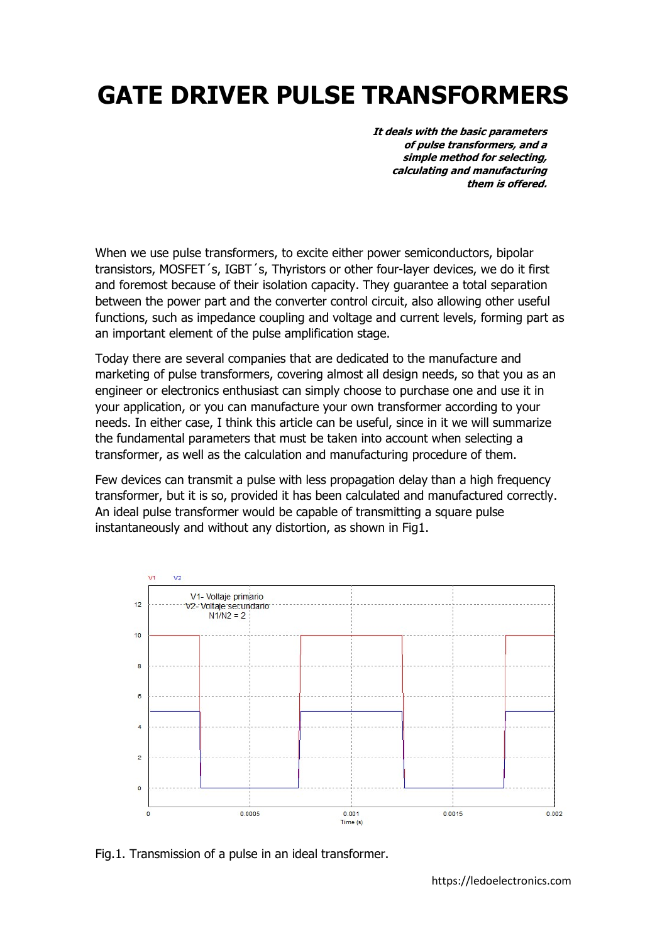# GATE DRIVER PULSE TRANSFORMERS

It deals with the basic parameters of pulse transformers, and a simple method for selecting, calculating and manufacturing them is offered.

When we use pulse transformers, to excite either power semiconductors, bipolar transistors, MOSFET´s, IGBT´s, Thyristors or other four-layer devices, we do it first and foremost because of their isolation capacity. They guarantee a total separation between the power part and the converter control circuit, also allowing other useful functions, such as impedance coupling and voltage and current levels, forming part as an important element of the pulse amplification stage.

Today there are several companies that are dedicated to the manufacture and marketing of pulse transformers, covering almost all design needs, so that you as an engineer or electronics enthusiast can simply choose to purchase one and use it in your application, or you can manufacture your own transformer according to your needs. In either case, I think this article can be useful, since in it we will summarize the fundamental parameters that must be taken into account when selecting a transformer, as well as the calculation and manufacturing procedure of them.

Few devices can transmit a pulse with less propagation delay than a high frequency transformer, but it is so, provided it has been calculated and manufactured correctly. An ideal pulse transformer would be capable of transmitting a square pulse instantaneously and without any distortion, as shown in Fig1.



Fig.1. Transmission of a pulse in an ideal transformer.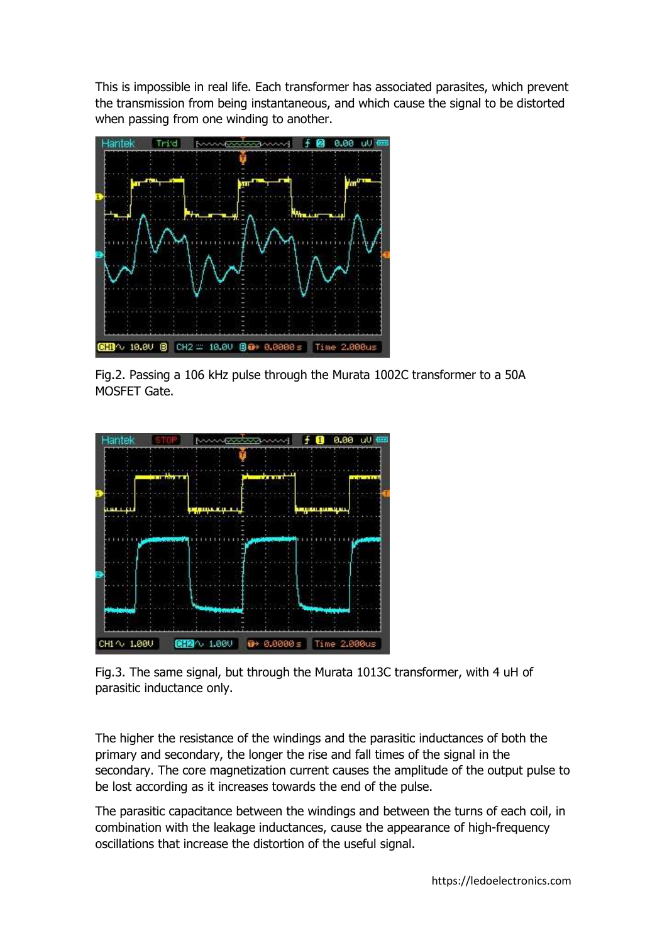This is impossible in real life. Each transformer has associated parasites, which prevent the transmission from being instantaneous, and which cause the signal to be distorted when passing from one winding to another.



Fig.2. Passing a 106 kHz pulse through the Murata 1002C transformer to a 50A MOSFET Gate.



Fig.3. The same signal, but through the Murata 1013C transformer, with 4 uH of parasitic inductance only.

The higher the resistance of the windings and the parasitic inductances of both the primary and secondary, the longer the rise and fall times of the signal in the secondary. The core magnetization current causes the amplitude of the output pulse to be lost according as it increases towards the end of the pulse.

The parasitic capacitance between the windings and between the turns of each coil, in combination with the leakage inductances, cause the appearance of high-frequency oscillations that increase the distortion of the useful signal.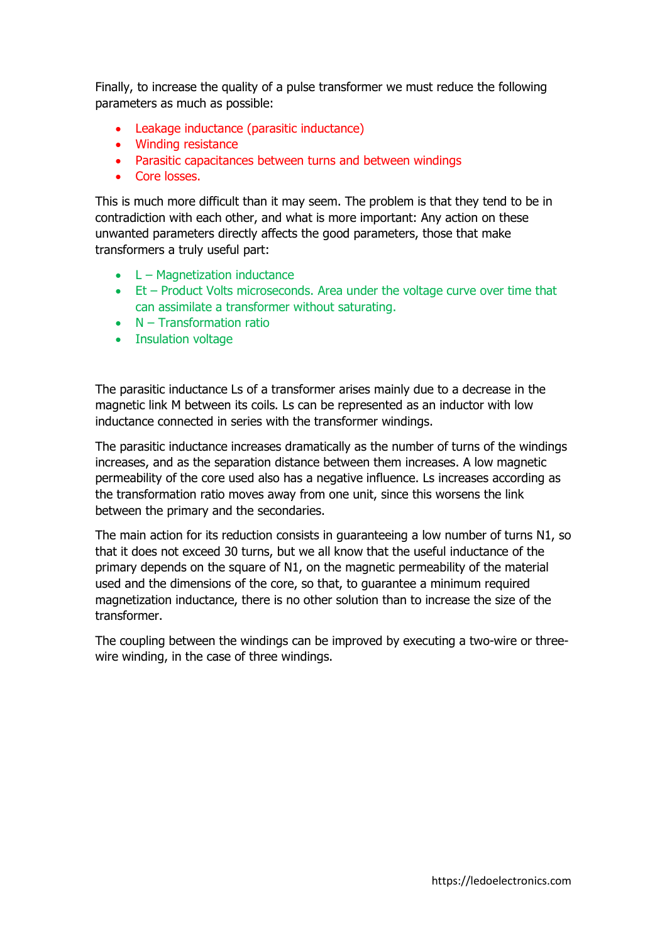Finally, to increase the quality of a pulse transformer we must reduce the following parameters as much as possible:

- Leakage inductance (parasitic inductance)
- Winding resistance
- Parasitic capacitances between turns and between windings
- Core losses.

This is much more difficult than it may seem. The problem is that they tend to be in contradiction with each other, and what is more important: Any action on these unwanted parameters directly affects the good parameters, those that make transformers a truly useful part:

- L Magnetization inductance
- Et Product Volts microseconds. Area under the voltage curve over time that can assimilate a transformer without saturating.
- N Transformation ratio
- Insulation voltage

The parasitic inductance Ls of a transformer arises mainly due to a decrease in the magnetic link M between its coils. Ls can be represented as an inductor with low inductance connected in series with the transformer windings.

The parasitic inductance increases dramatically as the number of turns of the windings increases, and as the separation distance between them increases. A low magnetic permeability of the core used also has a negative influence. Ls increases according as the transformation ratio moves away from one unit, since this worsens the link between the primary and the secondaries.

The main action for its reduction consists in guaranteeing a low number of turns N1, so that it does not exceed 30 turns, but we all know that the useful inductance of the primary depends on the square of N1, on the magnetic permeability of the material used and the dimensions of the core, so that, to guarantee a minimum required magnetization inductance, there is no other solution than to increase the size of the transformer.

The coupling between the windings can be improved by executing a two-wire or threewire winding, in the case of three windings.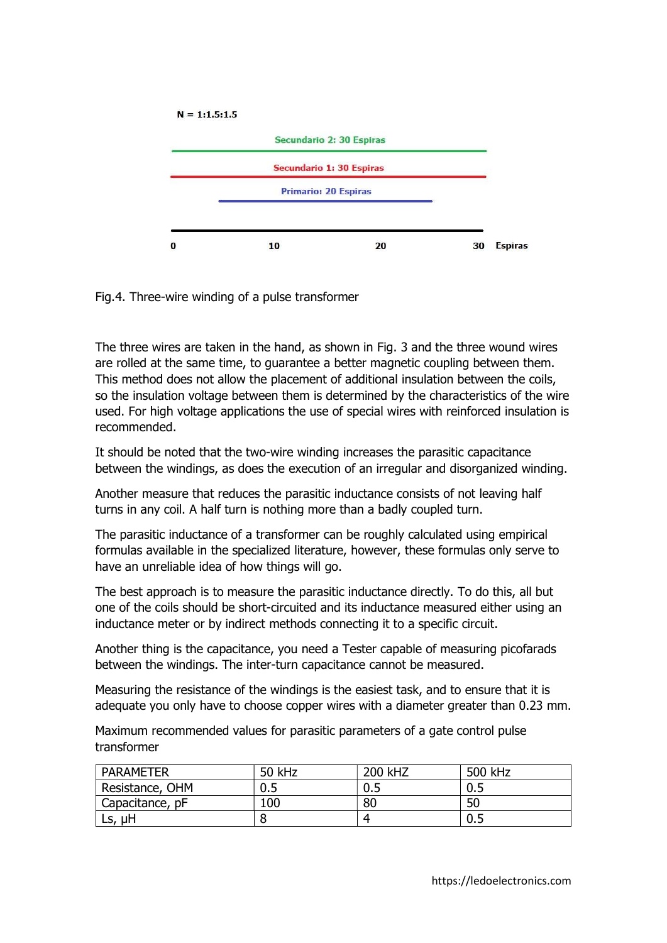

Fig.4. Three-wire winding of a pulse transformer

The three wires are taken in the hand, as shown in Fig. 3 and the three wound wires are rolled at the same time, to guarantee a better magnetic coupling between them. This method does not allow the placement of additional insulation between the coils, so the insulation voltage between them is determined by the characteristics of the wire used. For high voltage applications the use of special wires with reinforced insulation is recommended.

It should be noted that the two-wire winding increases the parasitic capacitance between the windings, as does the execution of an irregular and disorganized winding.

Another measure that reduces the parasitic inductance consists of not leaving half turns in any coil. A half turn is nothing more than a badly coupled turn.

The parasitic inductance of a transformer can be roughly calculated using empirical formulas available in the specialized literature, however, these formulas only serve to have an unreliable idea of how things will go.

The best approach is to measure the parasitic inductance directly. To do this, all but one of the coils should be short-circuited and its inductance measured either using an inductance meter or by indirect methods connecting it to a specific circuit.

Another thing is the capacitance, you need a Tester capable of measuring picofarads between the windings. The inter-turn capacitance cannot be measured.

Measuring the resistance of the windings is the easiest task, and to ensure that it is adequate you only have to choose copper wires with a diameter greater than 0.23 mm.

Maximum recommended values for parasitic parameters of a gate control pulse transformer

| <b>PARAMETER</b> | 50 kHz | 200 kHZ | 500 kHz |
|------------------|--------|---------|---------|
| Resistance, OHM  | 0.5    | 0.5     | 0.5     |
| Capacitance, pF  | 100    | 80      | 50      |
| μH<br>LS,        |        |         | 0.5     |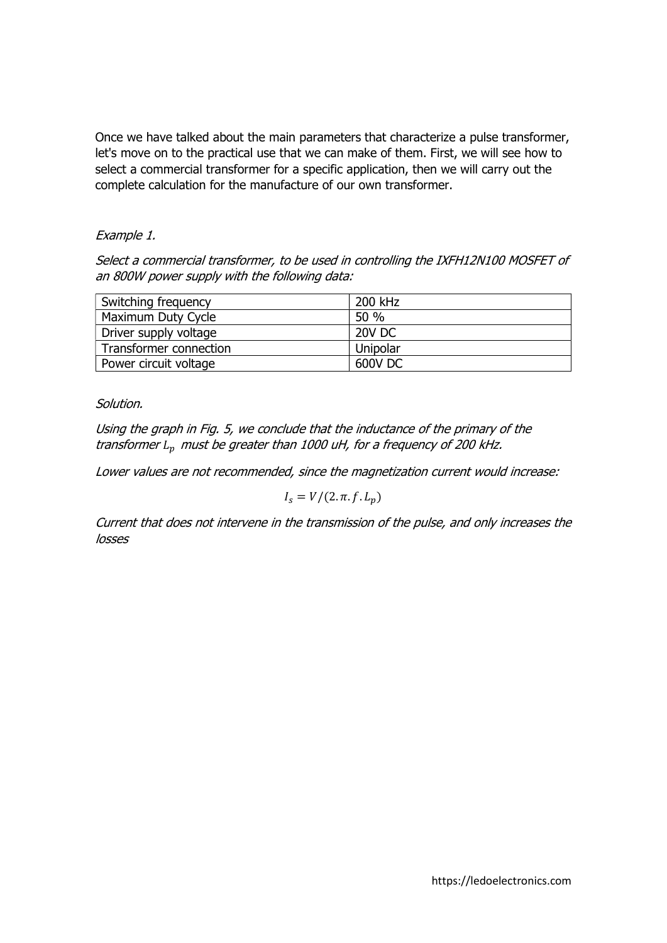Once we have talked about the main parameters that characterize a pulse transformer, let's move on to the practical use that we can make of them. First, we will see how to select a commercial transformer for a specific application, then we will carry out the complete calculation for the manufacture of our own transformer.

#### Example 1.

Select a commercial transformer, to be used in controlling the IXFH12N100 MOSFET of an 800W power supply with the following data:

| Switching frequency    | 200 kHz       |
|------------------------|---------------|
| Maximum Duty Cycle     | 50 %          |
| Driver supply voltage  | <b>20V DC</b> |
| Transformer connection | Unipolar      |
| Power circuit voltage  | 600V DC       |

#### Solution.

Using the graph in Fig. 5, we conclude that the inductance of the primary of the transformer  $L_n$  must be greater than 1000 uH, for a frequency of 200 kHz.

Lower values are not recommended, since the magnetization current would increase:

$$
I_s = V/(2.\pi.f.L_p)
$$

Current that does not intervene in the transmission of the pulse, and only increases the losses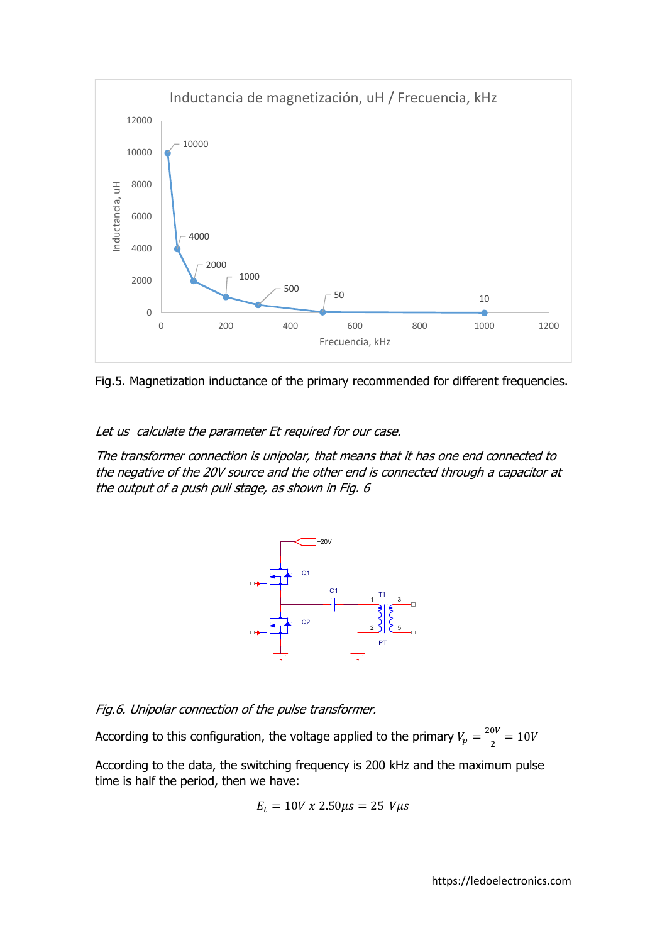

Fig.5. Magnetization inductance of the primary recommended for different frequencies.

Let us calculate the parameter Et required for our case.

The transformer connection is unipolar, that means that it has one end connected to the negative of the 20V source and the other end is connected through a capacitor at the output of a push pull stage, as shown in Fig. 6



Fig.6. Unipolar connection of the pulse transformer.

According to this configuration, the voltage applied to the primary  $V_p = \frac{20V}{2}$  $\frac{0V}{2} = 10V$ 

According to the data, the switching frequency is 200 kHz and the maximum pulse time is half the period, then we have:

$$
E_t = 10V \times 2.50 \mu s = 25 \ V \mu s
$$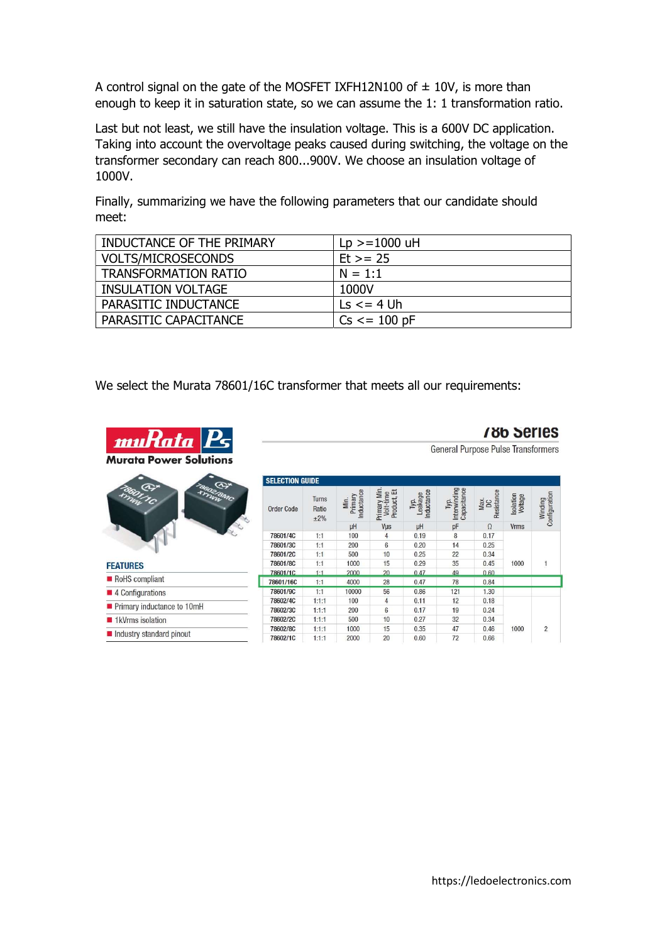A control signal on the gate of the MOSFET IXFH12N100 of  $\pm$  10V, is more than enough to keep it in saturation state, so we can assume the 1: 1 transformation ratio.

Last but not least, we still have the insulation voltage. This is a 600V DC application. Taking into account the overvoltage peaks caused during switching, the voltage on the transformer secondary can reach 800...900V. We choose an insulation voltage of 1000V.

Finally, summarizing we have the following parameters that our candidate should meet:

| INDUCTANCE OF THE PRIMARY | $Lp > = 1000$ uH              |
|---------------------------|-------------------------------|
| <b>VOLTS/MICROSECONDS</b> | $Et > = 25$                   |
| TRANSFORMATION RATIO      | $N = 1:1$                     |
| INSULATION VOLTAGE        | 1000V                         |
| PARASITIC INDUCTANCE      | $\text{Ls} \leq 4 \text{ Uh}$ |
| PARASITIC CAPACITANCE     | $Cs \le 100$ pF               |

We select the Murata 78601/16C transformer that meets all our requirements:



- 
- I 1kVrms isolation
- Industry standard pinout

**786 Series General Purpose Pulse Transformers** 

| <b>Order Code</b> | <b>Turns</b><br>Ratio<br>$\pm 2\%$ | Inductance<br>Primary<br>Min. | Primary Min<br>Product, Et<br>Volt-time | Inductance<br>Leakage<br>Тyр. | Interwinding<br>Capacitance<br>Typ. | Resistance<br>Max.<br>DC | Isolation<br>Voltage | Configuration<br>Winding |
|-------------------|------------------------------------|-------------------------------|-----------------------------------------|-------------------------------|-------------------------------------|--------------------------|----------------------|--------------------------|
|                   |                                    | μH                            | Vus                                     | μH                            | pF                                  | $\Omega$                 | <b>Vrms</b>          |                          |
| 78601/4C          | 1:1                                | 100                           | $\overline{4}$                          | 0.19                          | 8                                   | 0.17                     |                      |                          |
| 78601/3C          | 1:1                                | 200                           | 6                                       | 0.20                          | 14                                  | 0.25                     | 1000                 | $\mathbf{1}$             |
| 78601/2C          | 1:1                                | 500                           | 10                                      | 0.25                          | 22                                  | 0.34                     |                      |                          |
| 78601/8C          | 1:1                                | 1000                          | 15                                      | 0.29                          | 35                                  | 0.45                     |                      |                          |
| 78601/1C          | $1 - 1$                            | 2000                          | 20                                      | 0.47                          | 49                                  | 0.60                     |                      |                          |
| 78601/16C         | 1:1                                | 4000                          | 28                                      | 0.47                          | 78                                  | 0.84                     |                      |                          |
| 78601/9C          | 1:1                                | 10000                         | 56                                      | 0.86                          | 121                                 | 1.30                     |                      |                          |
| 78602/4C          | 1:1:1                              | 100                           | $\overline{4}$                          | 0.11                          | 12                                  | 0.18                     |                      |                          |
| 78602/3C          | 1:1:1                              | 200                           | 6                                       | 0.17                          | 19                                  | 0.24                     | 1000                 | $\overline{c}$           |
| 78602/2C          | 1:1:1                              | 500                           | 10                                      | 0.27                          | 32                                  | 0.34                     |                      |                          |
| 78602/8C          | 1:1:1                              | 1000                          | 15                                      | 0.35                          | 47                                  | 0.46                     |                      |                          |
| 78602/1C          | 1.1.1                              | 2000                          | 20                                      | 0.60                          | 72                                  | 0.66                     |                      |                          |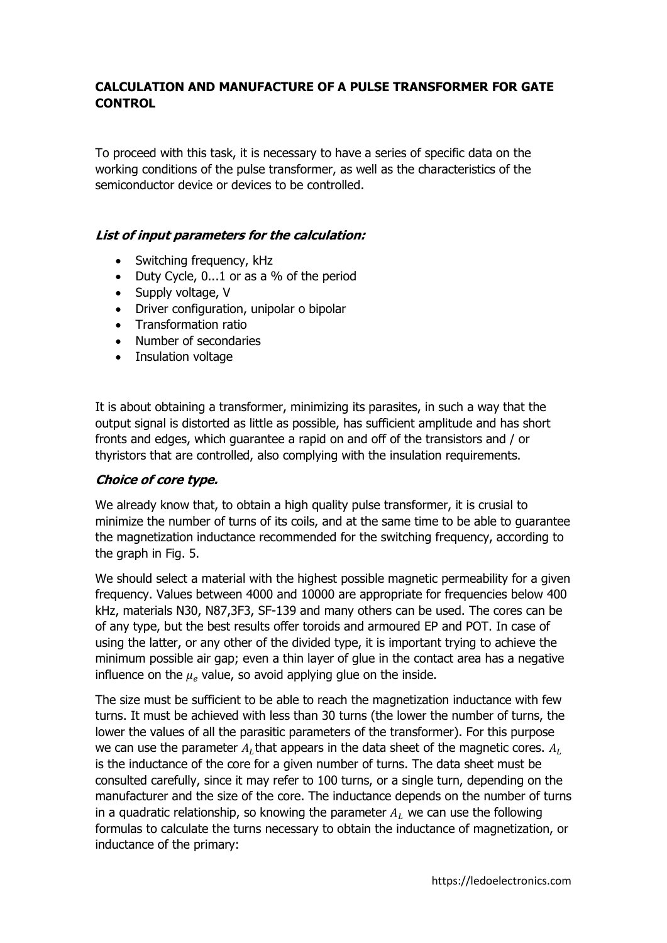## CALCULATION AND MANUFACTURE OF A PULSE TRANSFORMER FOR GATE **CONTROL**

To proceed with this task, it is necessary to have a series of specific data on the working conditions of the pulse transformer, as well as the characteristics of the semiconductor device or devices to be controlled.

## List of input parameters for the calculation:

- Switching frequency, kHz
- Duty Cycle, 0...1 or as a % of the period
- Supply voltage, V
- Driver configuration, unipolar o bipolar
- Transformation ratio
- Number of secondaries
- Insulation voltage

It is about obtaining a transformer, minimizing its parasites, in such a way that the output signal is distorted as little as possible, has sufficient amplitude and has short fronts and edges, which guarantee a rapid on and off of the transistors and / or thyristors that are controlled, also complying with the insulation requirements.

### Choice of core type.

We already know that, to obtain a high quality pulse transformer, it is crusial to minimize the number of turns of its coils, and at the same time to be able to guarantee the magnetization inductance recommended for the switching frequency, according to the graph in Fig. 5.

We should select a material with the highest possible magnetic permeability for a given frequency. Values between 4000 and 10000 are appropriate for frequencies below 400 kHz, materials N30, N87,3F3, SF-139 and many others can be used. The cores can be of any type, but the best results offer toroids and armoured EP and POT. In case of using the latter, or any other of the divided type, it is important trying to achieve the minimum possible air gap; even a thin layer of glue in the contact area has a negative influence on the  $\mu_e$  value, so avoid applying glue on the inside.

The size must be sufficient to be able to reach the magnetization inductance with few turns. It must be achieved with less than 30 turns (the lower the number of turns, the lower the values of all the parasitic parameters of the transformer). For this purpose we can use the parameter  $A_L$ that appears in the data sheet of the magnetic cores.  $A_L$ is the inductance of the core for a given number of turns. The data sheet must be consulted carefully, since it may refer to 100 turns, or a single turn, depending on the manufacturer and the size of the core. The inductance depends on the number of turns in a quadratic relationship, so knowing the parameter  $A_L$  we can use the following formulas to calculate the turns necessary to obtain the inductance of magnetization, or inductance of the primary: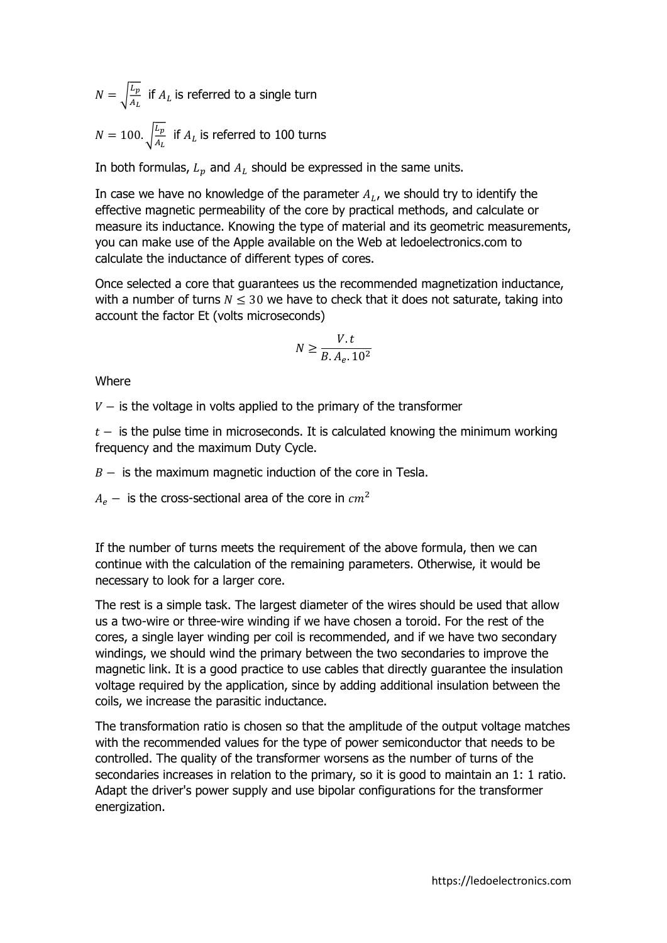$N = \frac{\left|L_p\right|}{4}$  $\frac{L_p}{A_L}$  if  $A_L$  is referred to a single turn  $N = 100.$   $\frac{L_p}{4}$  $\frac{L_p}{A_L}$  if  $A_L$  is referred to 100 turns

In both formulas,  $L_p$  and  $A_L$  should be expressed in the same units.

In case we have no knowledge of the parameter  $A_L$ , we should try to identify the effective magnetic permeability of the core by practical methods, and calculate or measure its inductance. Knowing the type of material and its geometric measurements, you can make use of the Apple available on the Web at ledoelectronics.com to calculate the inductance of different types of cores.

Once selected a core that guarantees us the recommended magnetization inductance, with a number of turns  $N \leq 30$  we have to check that it does not saturate, taking into account the factor Et (volts microseconds)

$$
N \ge \frac{V.t}{B.A_e. 10^2}
$$

**Where** 

 $V -$  is the voltage in volts applied to the primary of the transformer

 $t -$  is the pulse time in microseconds. It is calculated knowing the minimum working frequency and the maximum Duty Cycle.

 $B -$  is the maximum magnetic induction of the core in Tesla.

 $A_e$  – is the cross-sectional area of the core in  $cm<sup>2</sup>$ 

If the number of turns meets the requirement of the above formula, then we can continue with the calculation of the remaining parameters. Otherwise, it would be necessary to look for a larger core.

The rest is a simple task. The largest diameter of the wires should be used that allow us a two-wire or three-wire winding if we have chosen a toroid. For the rest of the cores, a single layer winding per coil is recommended, and if we have two secondary windings, we should wind the primary between the two secondaries to improve the magnetic link. It is a good practice to use cables that directly guarantee the insulation voltage required by the application, since by adding additional insulation between the coils, we increase the parasitic inductance.

The transformation ratio is chosen so that the amplitude of the output voltage matches with the recommended values for the type of power semiconductor that needs to be controlled. The quality of the transformer worsens as the number of turns of the secondaries increases in relation to the primary, so it is good to maintain an 1: 1 ratio. Adapt the driver's power supply and use bipolar configurations for the transformer energization.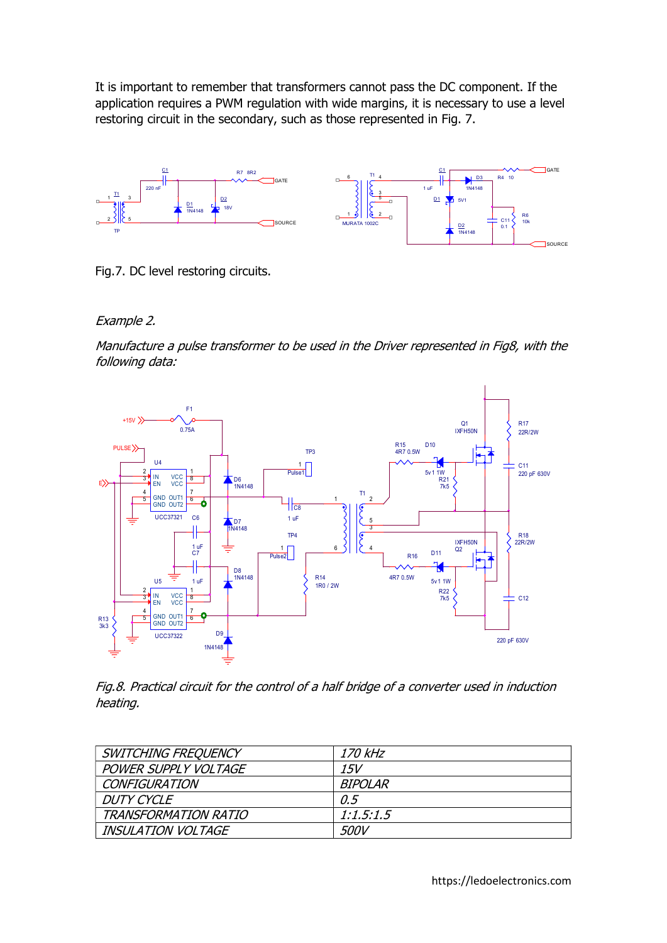It is important to remember that transformers cannot pass the DC component. If the application requires a PWM regulation with wide margins, it is necessary to use a level restoring circuit in the secondary, such as those represented in Fig. 7.



Fig.7. DC level restoring circuits.

Example 2.

Manufacture a pulse transformer to be used in the Driver represented in Fig8, with the following data:



Fig.8. Practical circuit for the control of a half bridge of a converter used in induction heating.

| SWITCHING FREQUENCY         | <i>170 kHz</i> |
|-----------------------------|----------------|
| <b>POWER SUPPLY VOLTAGE</b> | 15V            |
| <b>CONFIGURATION</b>        | <i>BIPOLAR</i> |
| <b>DUTY CYCLE</b>           | O.5            |
| TRANSFORMATION RATIO        | 1:1.5:1.5      |
| <b>INSULATION VOLTAGE</b>   | <i>500V</i>    |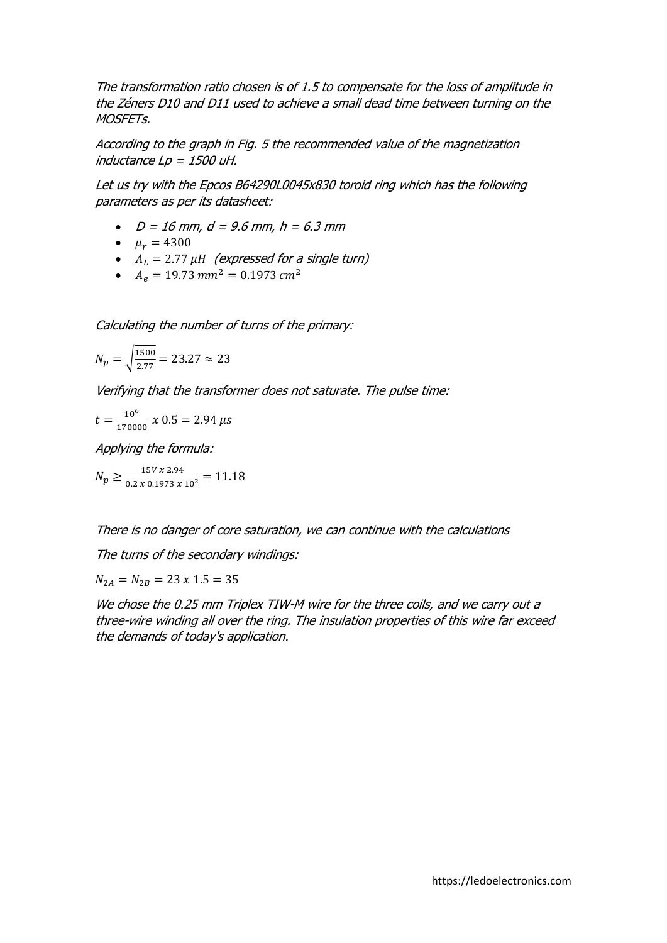The transformation ratio chosen is of 1.5 to compensate for the loss of amplitude in the Zéners D10 and D11 used to achieve a small dead time between turning on the MOSFETs.

According to the graph in Fig. 5 the recommended value of the magnetization inductance  $Lp = 1500$  uH.

Let us try with the Epcos B64290L0045x830 toroid ring which has the following parameters as per its datasheet:

- $D = 16$  mm,  $d = 9.6$  mm,  $h = 6.3$  mm
- $\mu_r = 4300$
- $A_L = 2.77 \mu H$  (expressed for a single turn)
- $A_e = 19.73$  mm<sup>2</sup> = 0.1973 cm<sup>2</sup>

Calculating the number of turns of the primary:

$$
N_p = \sqrt{\frac{1500}{2.77}} = 23.27 \approx 23
$$

Verifying that the transformer does not saturate. The pulse time:

$$
t = \frac{10^6}{170000} \times 0.5 = 2.94 \,\mu s
$$

Applying the formula:

 $N_p \ge \frac{15V \times 2.94}{0.2 \times 0.1973 \times 10^2} = 11.18$ 

There is no danger of core saturation, we can continue with the calculations

The turns of the secondary windings:

 $N_{2A} = N_{2B} = 23 \times 1.5 = 35$ 

We chose the 0.25 mm Triplex TIW-M wire for the three coils, and we carry out a three-wire winding all over the ring. The insulation properties of this wire far exceed the demands of today's application.